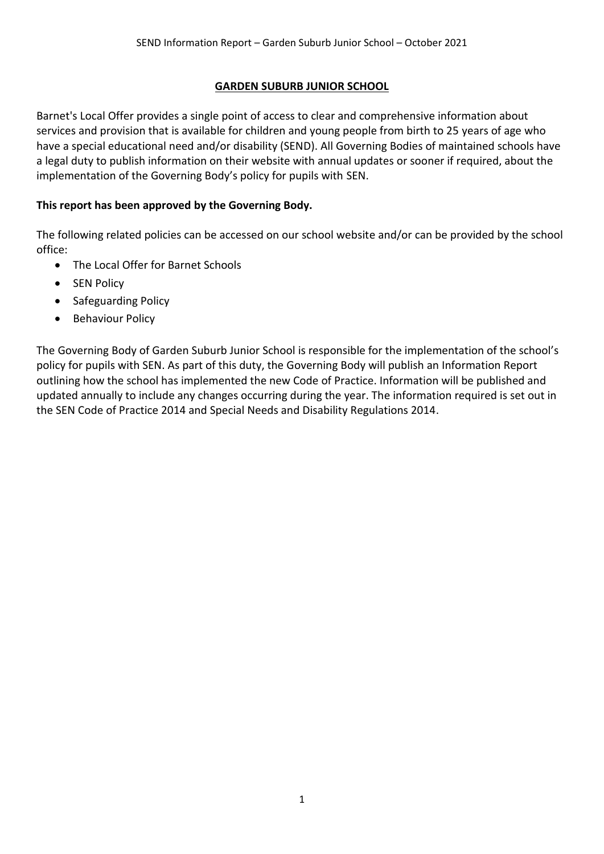#### **GARDEN SUBURB JUNIOR SCHOOL**

Barnet's Local Offer provides a single point of access to clear and comprehensive information about services and provision that is available for children and young people from birth to 25 years of age who have a special educational need and/or disability (SEND). All Governing Bodies of maintained schools have a legal duty to publish information on their website with annual updates or sooner if required, about the implementation of the Governing Body's policy for pupils with SEN.

#### **This report has been approved by the Governing Body.**

The following related policies can be accessed on our school website and/or can be provided by the school office:

- The Local Offer for Barnet Schools
- SEN Policy
- Safeguarding Policy
- Behaviour Policy

The Governing Body of Garden Suburb Junior School is responsible for the implementation of the school's policy for pupils with SEN. As part of this duty, the Governing Body will publish an Information Report outlining how the school has implemented the new Code of Practice. Information will be published and updated annually to include any changes occurring during the year. The information required is set out in the SEN Code of Practice 2014 and Special Needs and Disability Regulations 2014.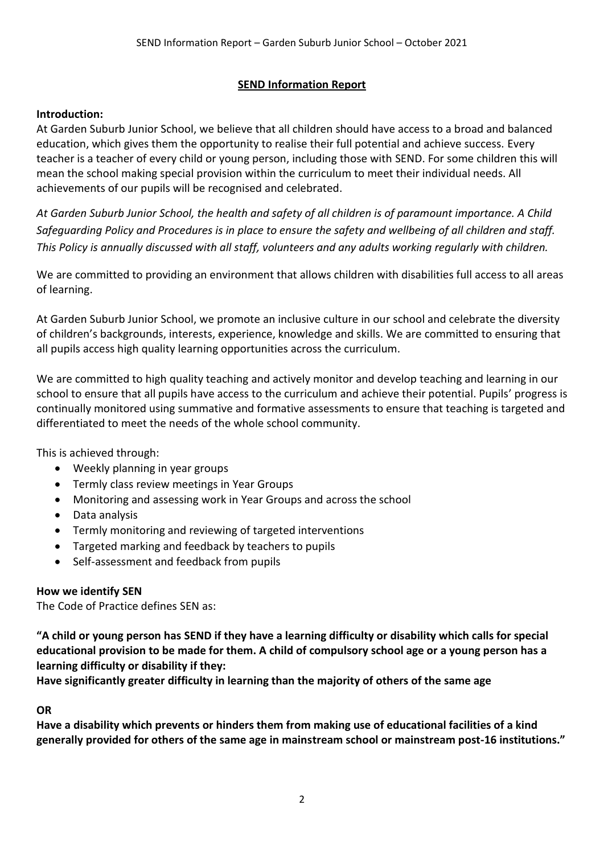### **SEND Information Report**

### **Introduction:**

At Garden Suburb Junior School, we believe that all children should have access to a broad and balanced education, which gives them the opportunity to realise their full potential and achieve success. Every teacher is a teacher of every child or young person, including those with SEND. For some children this will mean the school making special provision within the curriculum to meet their individual needs. All achievements of our pupils will be recognised and celebrated.

*At Garden Suburb Junior School, the health and safety of all children is of paramount importance. A Child Safeguarding Policy and Procedures is in place to ensure the safety and wellbeing of all children and staff. This Policy is annually discussed with all staff, volunteers and any adults working regularly with children.*

We are committed to providing an environment that allows children with disabilities full access to all areas of learning.

At Garden Suburb Junior School, we promote an inclusive culture in our school and celebrate the diversity of children's backgrounds, interests, experience, knowledge and skills. We are committed to ensuring that all pupils access high quality learning opportunities across the curriculum.

We are committed to high quality teaching and actively monitor and develop teaching and learning in our school to ensure that all pupils have access to the curriculum and achieve their potential. Pupils' progress is continually monitored using summative and formative assessments to ensure that teaching is targeted and differentiated to meet the needs of the whole school community.

This is achieved through:

- Weekly planning in year groups
- Termly class review meetings in Year Groups
- Monitoring and assessing work in Year Groups and across the school
- Data analysis
- Termly monitoring and reviewing of targeted interventions
- Targeted marking and feedback by teachers to pupils
- Self-assessment and feedback from pupils

### **How we identify SEN**

The Code of Practice defines SEN as:

**"A child or young person has SEND if they have a learning difficulty or disability which calls for special educational provision to be made for them. A child of compulsory school age or a young person has a learning difficulty or disability if they:**

**Have significantly greater difficulty in learning than the majority of others of the same age**

### **OR**

**Have a disability which prevents or hinders them from making use of educational facilities of a kind generally provided for others of the same age in mainstream school or mainstream post-16 institutions."**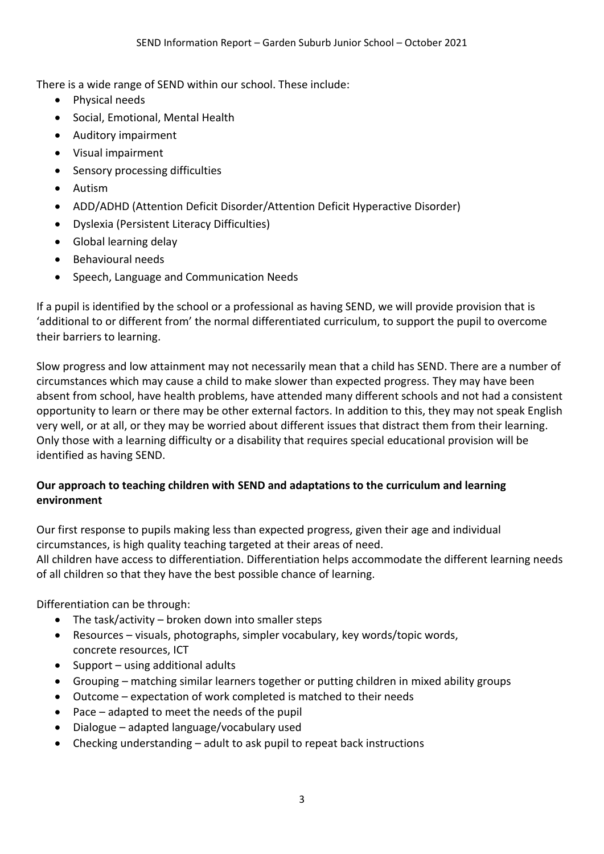There is a wide range of SEND within our school. These include:

- Physical needs
- Social, Emotional, Mental Health
- Auditory impairment
- Visual impairment
- Sensory processing difficulties
- **•** Autism
- ADD/ADHD (Attention Deficit Disorder/Attention Deficit Hyperactive Disorder)
- Dyslexia (Persistent Literacy Difficulties)
- Global learning delay
- Behavioural needs
- Speech, Language and Communication Needs

If a pupil is identified by the school or a professional as having SEND, we will provide provision that is 'additional to or different from' the normal differentiated curriculum, to support the pupil to overcome their barriers to learning.

Slow progress and low attainment may not necessarily mean that a child has SEND. There are a number of circumstances which may cause a child to make slower than expected progress. They may have been absent from school, have health problems, have attended many different schools and not had a consistent opportunity to learn or there may be other external factors. In addition to this, they may not speak English very well, or at all, or they may be worried about different issues that distract them from their learning. Only those with a learning difficulty or a disability that requires special educational provision will be identified as having SEND.

### **Our approach to teaching children with SEND and adaptations to the curriculum and learning environment**

Our first response to pupils making less than expected progress, given their age and individual circumstances, is high quality teaching targeted at their areas of need. All children have access to differentiation. Differentiation helps accommodate the different learning needs of all children so that they have the best possible chance of learning.

Differentiation can be through:

- $\bullet$  The task/activity broken down into smaller steps
- Resources visuals, photographs, simpler vocabulary, key words/topic words, concrete resources, ICT
- $\bullet$  Support using additional adults
- Grouping matching similar learners together or putting children in mixed ability groups
- Outcome expectation of work completed is matched to their needs
- Pace adapted to meet the needs of the pupil
- Dialogue adapted language/vocabulary used
- Checking understanding adult to ask pupil to repeat back instructions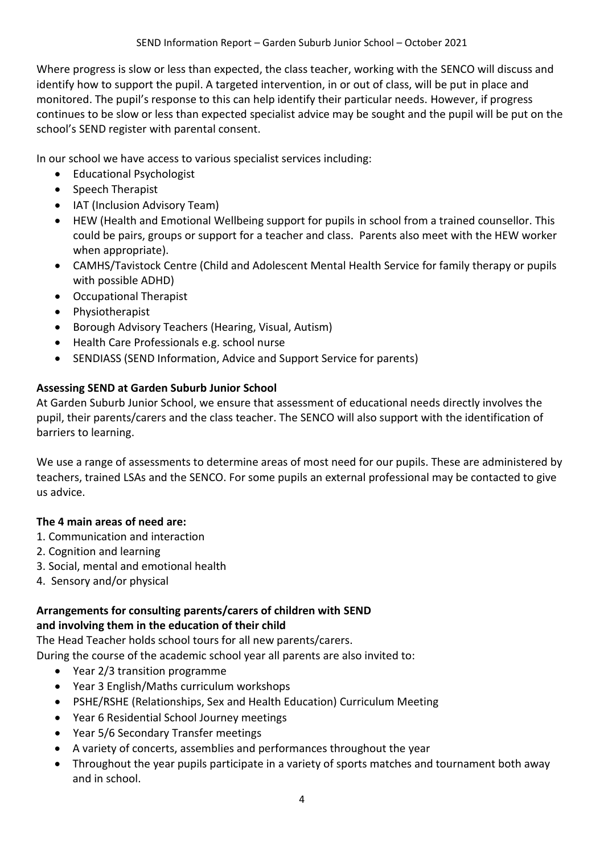Where progress is slow or less than expected, the class teacher, working with the SENCO will discuss and identify how to support the pupil. A targeted intervention, in or out of class, will be put in place and monitored. The pupil's response to this can help identify their particular needs. However, if progress continues to be slow or less than expected specialist advice may be sought and the pupil will be put on the school's SEND register with parental consent.

In our school we have access to various specialist services including:

- Educational Psychologist
- Speech Therapist
- IAT (Inclusion Advisory Team)
- HEW (Health and Emotional Wellbeing support for pupils in school from a trained counsellor. This could be pairs, groups or support for a teacher and class. Parents also meet with the HEW worker when appropriate).
- CAMHS/Tavistock Centre (Child and Adolescent Mental Health Service for family therapy or pupils with possible ADHD)
- Occupational Therapist
- Physiotherapist
- Borough Advisory Teachers (Hearing, Visual, Autism)
- Health Care Professionals e.g. school nurse
- SENDIASS (SEND Information, Advice and Support Service for parents)

# **Assessing SEND at Garden Suburb Junior School**

At Garden Suburb Junior School, we ensure that assessment of educational needs directly involves the pupil, their parents/carers and the class teacher. The SENCO will also support with the identification of barriers to learning.

We use a range of assessments to determine areas of most need for our pupils. These are administered by teachers, trained LSAs and the SENCO. For some pupils an external professional may be contacted to give us advice.

### **The 4 main areas of need are:**

- 1. Communication and interaction
- 2. Cognition and learning
- 3. Social, mental and emotional health
- 4. Sensory and/or physical

# **Arrangements for consulting parents/carers of children with SEND**

### **and involving them in the education of their child**

The Head Teacher holds school tours for all new parents/carers.

During the course of the academic school year all parents are also invited to:

- Year 2/3 transition programme
- Year 3 English/Maths curriculum workshops
- PSHE/RSHE (Relationships, Sex and Health Education) Curriculum Meeting
- Year 6 Residential School Journey meetings
- Year 5/6 Secondary Transfer meetings
- A variety of concerts, assemblies and performances throughout the year
- Throughout the year pupils participate in a variety of sports matches and tournament both away and in school.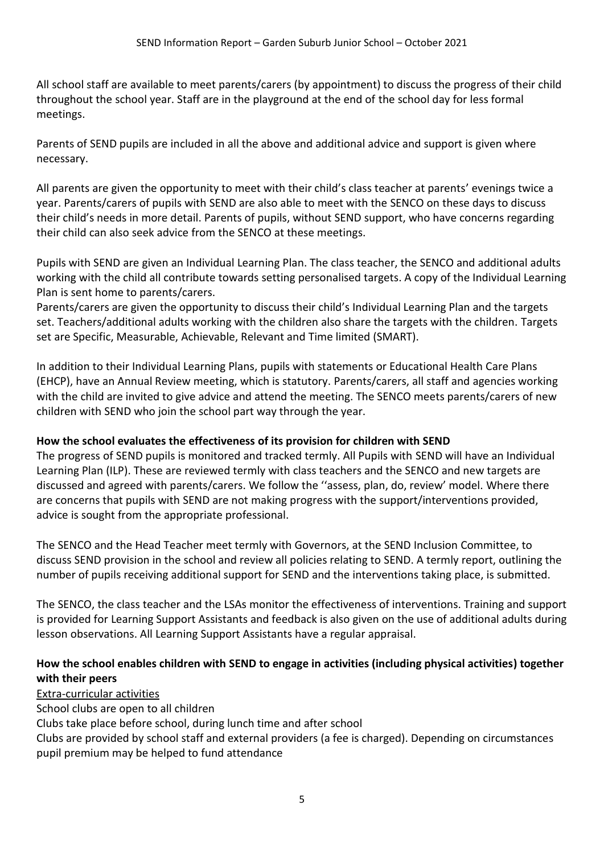All school staff are available to meet parents/carers (by appointment) to discuss the progress of their child throughout the school year. Staff are in the playground at the end of the school day for less formal meetings.

Parents of SEND pupils are included in all the above and additional advice and support is given where necessary.

All parents are given the opportunity to meet with their child's class teacher at parents' evenings twice a year. Parents/carers of pupils with SEND are also able to meet with the SENCO on these days to discuss their child's needs in more detail. Parents of pupils, without SEND support, who have concerns regarding their child can also seek advice from the SENCO at these meetings.

Pupils with SEND are given an Individual Learning Plan. The class teacher, the SENCO and additional adults working with the child all contribute towards setting personalised targets. A copy of the Individual Learning Plan is sent home to parents/carers.

Parents/carers are given the opportunity to discuss their child's Individual Learning Plan and the targets set. Teachers/additional adults working with the children also share the targets with the children. Targets set are Specific, Measurable, Achievable, Relevant and Time limited (SMART).

In addition to their Individual Learning Plans, pupils with statements or Educational Health Care Plans (EHCP), have an Annual Review meeting, which is statutory. Parents/carers, all staff and agencies working with the child are invited to give advice and attend the meeting. The SENCO meets parents/carers of new children with SEND who join the school part way through the year.

### **How the school evaluates the effectiveness of its provision for children with SEND**

The progress of SEND pupils is monitored and tracked termly. All Pupils with SEND will have an Individual Learning Plan (ILP). These are reviewed termly with class teachers and the SENCO and new targets are discussed and agreed with parents/carers. We follow the ''assess, plan, do, review' model. Where there are concerns that pupils with SEND are not making progress with the support/interventions provided, advice is sought from the appropriate professional.

The SENCO and the Head Teacher meet termly with Governors, at the SEND Inclusion Committee, to discuss SEND provision in the school and review all policies relating to SEND. A termly report, outlining the number of pupils receiving additional support for SEND and the interventions taking place, is submitted.

The SENCO, the class teacher and the LSAs monitor the effectiveness of interventions. Training and support is provided for Learning Support Assistants and feedback is also given on the use of additional adults during lesson observations. All Learning Support Assistants have a regular appraisal.

### **How the school enables children with SEND to engage in activities (including physical activities) together with their peers**

Extra-curricular activities

School clubs are open to all children

Clubs take place before school, during lunch time and after school

Clubs are provided by school staff and external providers (a fee is charged). Depending on circumstances pupil premium may be helped to fund attendance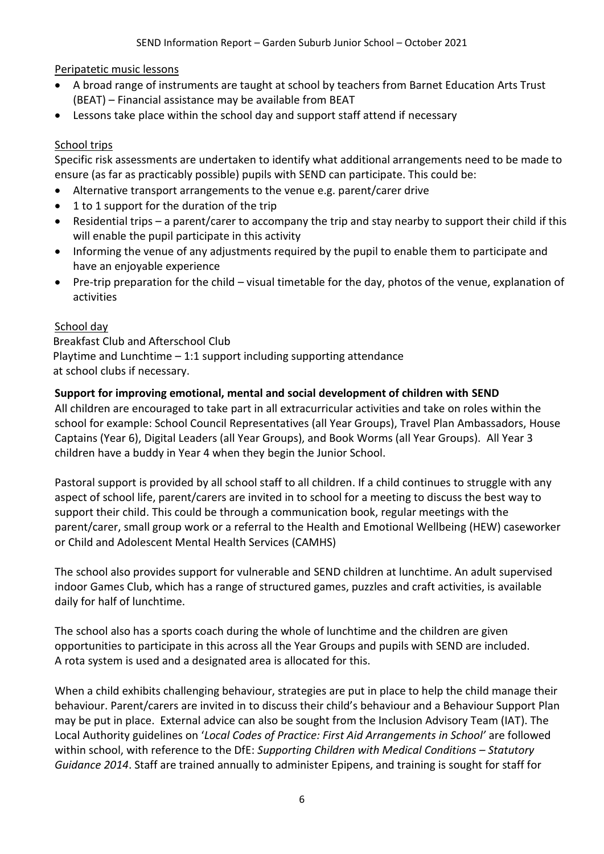Peripatetic music lessons

- A broad range of instruments are taught at school by teachers from Barnet Education Arts Trust (BEAT) – Financial assistance may be available from BEAT
- Lessons take place within the school day and support staff attend if necessary

### School trips

Specific risk assessments are undertaken to identify what additional arrangements need to be made to ensure (as far as practicably possible) pupils with SEND can participate. This could be:

- Alternative transport arrangements to the venue e.g. parent/carer drive
- 1 to 1 support for the duration of the trip
- Residential trips a parent/carer to accompany the trip and stay nearby to support their child if this will enable the pupil participate in this activity
- Informing the venue of any adjustments required by the pupil to enable them to participate and have an enjoyable experience
- Pre-trip preparation for the child visual timetable for the day, photos of the venue, explanation of activities

### School day

 Breakfast Club and Afterschool Club Playtime and Lunchtime  $-1.1$  support including supporting attendance at school clubs if necessary.

### **Support for improving emotional, mental and social development of children with SEND**

All children are encouraged to take part in all extracurricular activities and take on roles within the school for example: School Council Representatives (all Year Groups), Travel Plan Ambassadors, House Captains (Year 6), Digital Leaders (all Year Groups), and Book Worms (all Year Groups). All Year 3 children have a buddy in Year 4 when they begin the Junior School.

Pastoral support is provided by all school staff to all children. If a child continues to struggle with any aspect of school life, parent/carers are invited in to school for a meeting to discuss the best way to support their child. This could be through a communication book, regular meetings with the parent/carer, small group work or a referral to the Health and Emotional Wellbeing (HEW) caseworker or Child and Adolescent Mental Health Services (CAMHS)

The school also provides support for vulnerable and SEND children at lunchtime. An adult supervised indoor Games Club, which has a range of structured games, puzzles and craft activities, is available daily for half of lunchtime.

The school also has a sports coach during the whole of lunchtime and the children are given opportunities to participate in this across all the Year Groups and pupils with SEND are included. A rota system is used and a designated area is allocated for this.

When a child exhibits challenging behaviour, strategies are put in place to help the child manage their behaviour. Parent/carers are invited in to discuss their child's behaviour and a Behaviour Support Plan may be put in place. External advice can also be sought from the Inclusion Advisory Team (IAT). The Local Authority guidelines on '*Local Codes of Practice: First Aid Arrangements in School'* are followed within school, with reference to the DfE: *Supporting Children with Medical Conditions – Statutory Guidance 2014*. Staff are trained annually to administer Epipens, and training is sought for staff for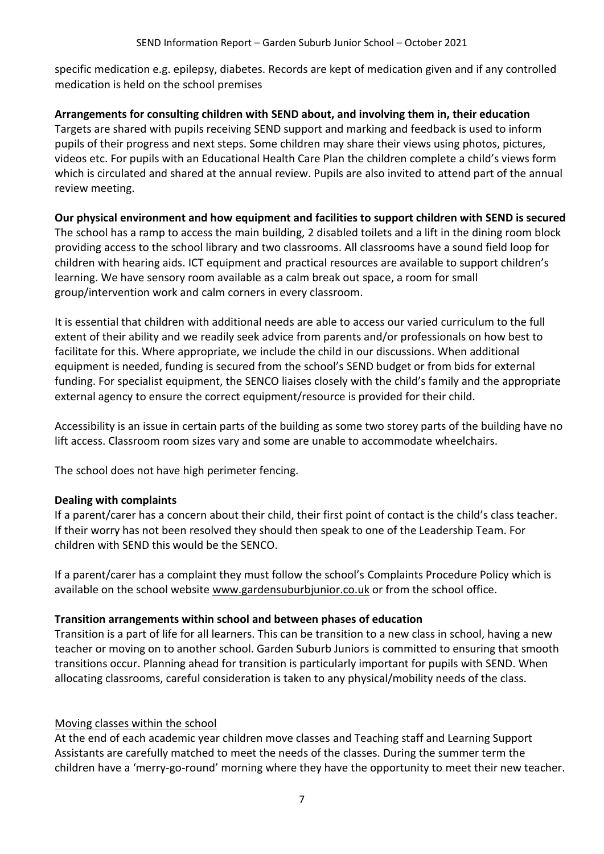specific medication e.g. epilepsy, diabetes. Records are kept of medication given and if any controlled medication is held on the school premises

**Arrangements for consulting children with SEND about, and involving them in, their education** Targets are shared with pupils receiving SEND support and marking and feedback is used to inform pupils of their progress and next steps. Some children may share their views using photos, pictures, videos etc. For pupils with an Educational Health Care Plan the children complete a child's views form which is circulated and shared at the annual review. Pupils are also invited to attend part of the annual review meeting.

### **Our physical environment and how equipment and facilities to support children with SEND is secured**

The school has a ramp to access the main building, 2 disabled toilets and a lift in the dining room block providing access to the school library and two classrooms. All classrooms have a sound field loop for children with hearing aids. ICT equipment and practical resources are available to support children's learning. We have sensory room available as a calm break out space, a room for small group/intervention work and calm corners in every classroom.

It is essential that children with additional needs are able to access our varied curriculum to the full extent of their ability and we readily seek advice from parents and/or professionals on how best to facilitate for this. Where appropriate, we include the child in our discussions. When additional equipment is needed, funding is secured from the school's SEND budget or from bids for external funding. For specialist equipment, the SENCO liaises closely with the child's family and the appropriate external agency to ensure the correct equipment/resource is provided for their child.

Accessibility is an issue in certain parts of the building as some two storey parts of the building have no lift access. Classroom room sizes vary and some are unable to accommodate wheelchairs.

The school does not have high perimeter fencing.

### **Dealing with complaints**

If a parent/carer has a concern about their child, their first point of contact is the child's class teacher. If their worry has not been resolved they should then speak to one of the Leadership Team. For children with SEND this would be the SENCO.

If a parent/carer has a complaint they must follow the school's Complaints Procedure Policy which is available on the school website [www.gardensuburbjunior.co.uk](http://www.gardensuburbjunior.co.uk/) or from the school office.

### **Transition arrangements within school and between phases of education**

Transition is a part of life for all learners. This can be transition to a new class in school, having a new teacher or moving on to another school. Garden Suburb Juniors is committed to ensuring that smooth transitions occur. Planning ahead for transition is particularly important for pupils with SEND. When allocating classrooms, careful consideration is taken to any physical/mobility needs of the class.

### Moving classes within the school

At the end of each academic year children move classes and Teaching staff and Learning Support Assistants are carefully matched to meet the needs of the classes. During the summer term the children have a 'merry-go-round' morning where they have the opportunity to meet their new teacher.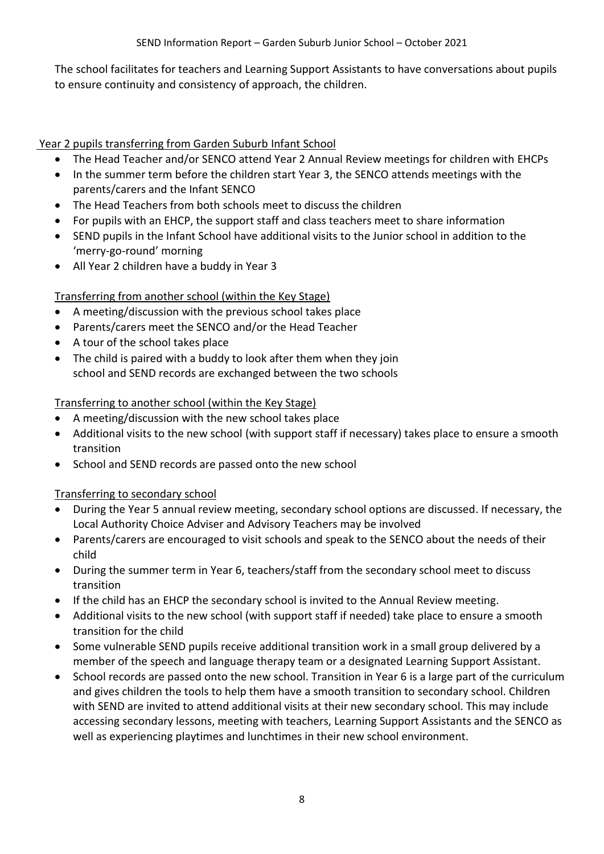The school facilitates for teachers and Learning Support Assistants to have conversations about pupils to ensure continuity and consistency of approach, the children.

## Year 2 pupils transferring from Garden Suburb Infant School

- The Head Teacher and/or SENCO attend Year 2 Annual Review meetings for children with EHCPs
- In the summer term before the children start Year 3, the SENCO attends meetings with the parents/carers and the Infant SENCO
- The Head Teachers from both schools meet to discuss the children
- For pupils with an EHCP, the support staff and class teachers meet to share information
- SEND pupils in the Infant School have additional visits to the Junior school in addition to the 'merry-go-round' morning
- All Year 2 children have a buddy in Year 3

# Transferring from another school (within the Key Stage)

- A meeting/discussion with the previous school takes place
- Parents/carers meet the SENCO and/or the Head Teacher
- A tour of the school takes place
- The child is paired with a buddy to look after them when they join school and SEND records are exchanged between the two schools

### Transferring to another school (within the Key Stage)

- A meeting/discussion with the new school takes place
- Additional visits to the new school (with support staff if necessary) takes place to ensure a smooth transition
- School and SEND records are passed onto the new school

### Transferring to secondary school

- During the Year 5 annual review meeting, secondary school options are discussed. If necessary, the Local Authority Choice Adviser and Advisory Teachers may be involved
- Parents/carers are encouraged to visit schools and speak to the SENCO about the needs of their child
- During the summer term in Year 6, teachers/staff from the secondary school meet to discuss transition
- If the child has an EHCP the secondary school is invited to the Annual Review meeting.
- Additional visits to the new school (with support staff if needed) take place to ensure a smooth transition for the child
- Some vulnerable SEND pupils receive additional transition work in a small group delivered by a member of the speech and language therapy team or a designated Learning Support Assistant.
- School records are passed onto the new school. Transition in Year 6 is a large part of the curriculum and gives children the tools to help them have a smooth transition to secondary school. Children with SEND are invited to attend additional visits at their new secondary school. This may include accessing secondary lessons, meeting with teachers, Learning Support Assistants and the SENCO as well as experiencing playtimes and lunchtimes in their new school environment.